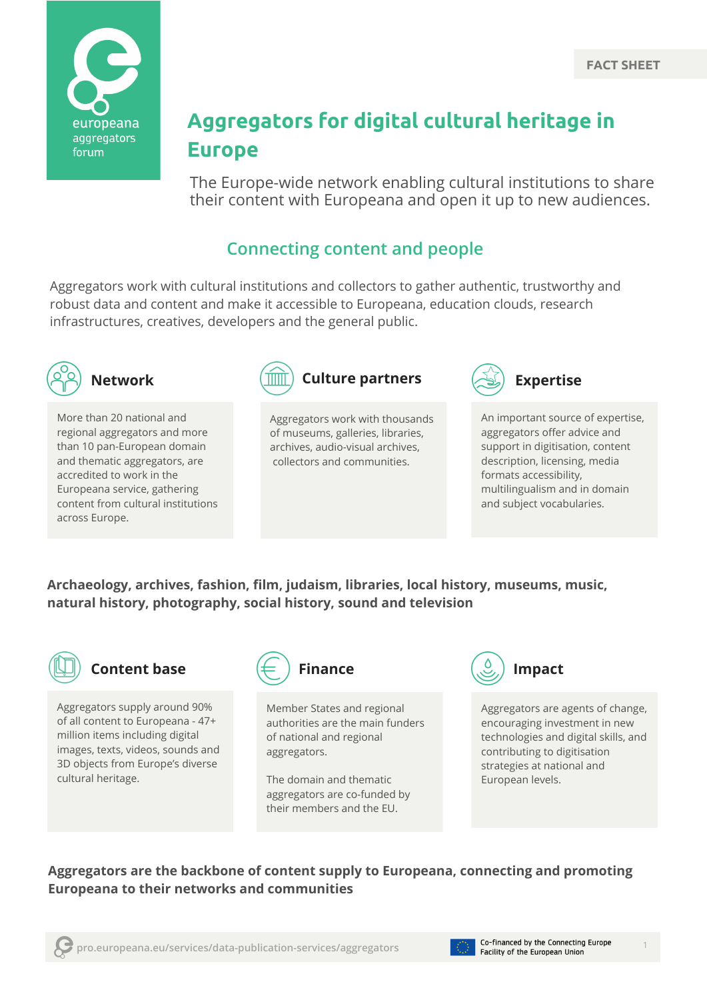

# **Aggregators for digital cultural heritage in Europe**

The Europe-wide network enabling cultural institutions to share their content with Europeana and open it up to new audiences.

# **Connecting content and people**

Aggregators work with cultural institutions and collectors to gather authentic, trustworthy and robust data and content and make it accessible to Europeana, education clouds, research infrastructures, creatives, developers and the general public.



More than 20 national and regional aggregators and more than 10 pan-European domain and thematic aggregators, are accredited to work in the Europeana service, gathering content from cultural institutions across Europe.



Aggregators work with thousands of museums, galleries, libraries, archives, audio-visual archives, collectors and communities.



An important source of expertise, aggregators offer advice and support in digitisation, content description, licensing, media formats accessibility, multilingualism and in domain and subject vocabularies.

**Archaeology, archives, fashion, film, judaism, libraries, local history, museums, music, natural history, photography, social history, sound and television**



### **Content base**

Aggregators supply around 90% of all content to Europeana - 47+ million items including digital images, texts, videos, sounds and 3D objects from Europe's diverse cultural heritage.



Member States and regional authorities are the main funders of national and regional aggregators.

The domain and thematic aggregators are co-funded by their members and the EU.



Aggregators are agents of change, encouraging investment in new technologies and digital skills, and contributing to digitisation strategies at national and European levels.

#### **Aggregators are the backbone of content supply to Europeana, connecting and promoting Europeana to their networks and communities**